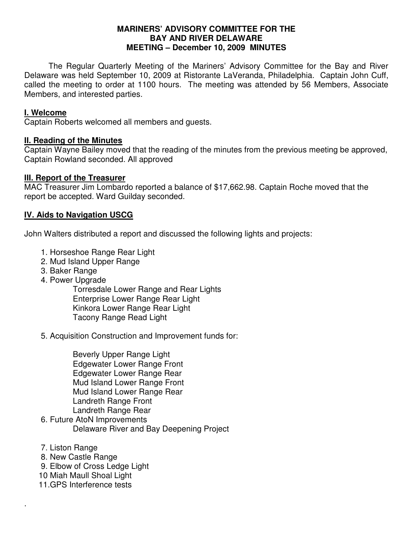#### **MARINERS' ADVISORY COMMITTEE FOR THE BAY AND RIVER DELAWARE MEETING – December 10, 2009 MINUTES**

 The Regular Quarterly Meeting of the Mariners' Advisory Committee for the Bay and River Delaware was held September 10, 2009 at Ristorante LaVeranda, Philadelphia. Captain John Cuff, called the meeting to order at 1100 hours. The meeting was attended by 56 Members, Associate Members, and interested parties.

#### **I. Welcome**

Captain Roberts welcomed all members and guests.

## **II. Reading of the Minutes**

Captain Wayne Bailey moved that the reading of the minutes from the previous meeting be approved, Captain Rowland seconded. All approved

## **III. Report of the Treasurer**

MAC Treasurer Jim Lombardo reported a balance of \$17,662.98. Captain Roche moved that the report be accepted. Ward Guilday seconded.

# **IV. Aids to Navigation USCG**

John Walters distributed a report and discussed the following lights and projects:

- 1. Horseshoe Range Rear Light
- 2. Mud Island Upper Range
- 3. Baker Range
- 4. Power Upgrade

 Torresdale Lower Range and Rear Lights Enterprise Lower Range Rear Light Kinkora Lower Range Rear Light Tacony Range Read Light

5. Acquisition Construction and Improvement funds for:

 Beverly Upper Range Light Edgewater Lower Range Front Edgewater Lower Range Rear Mud Island Lower Range Front Mud Island Lower Range Rear Landreth Range Front Landreth Range Rear

- 6. Future AtoN Improvements Delaware River and Bay Deepening Project
- 7. Liston Range

.

- 8. New Castle Range
- 9. Elbow of Cross Ledge Light
- 10 Miah Maull Shoal Light
- 11.GPS Interference tests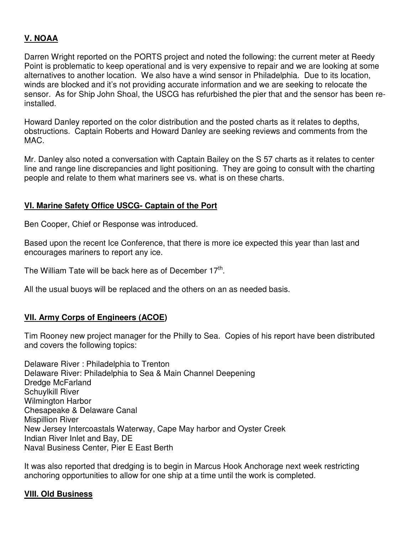# **V. NOAA**

Darren Wright reported on the PORTS project and noted the following: the current meter at Reedy Point is problematic to keep operational and is very expensive to repair and we are looking at some alternatives to another location. We also have a wind sensor in Philadelphia. Due to its location, winds are blocked and it's not providing accurate information and we are seeking to relocate the sensor. As for Ship John Shoal, the USCG has refurbished the pier that and the sensor has been reinstalled.

Howard Danley reported on the color distribution and the posted charts as it relates to depths, obstructions. Captain Roberts and Howard Danley are seeking reviews and comments from the MAC.

Mr. Danley also noted a conversation with Captain Bailey on the S 57 charts as it relates to center line and range line discrepancies and light positioning. They are going to consult with the charting people and relate to them what mariners see vs. what is on these charts.

## **VI. Marine Safety Office USCG- Captain of the Port**

Ben Cooper, Chief or Response was introduced.

Based upon the recent Ice Conference, that there is more ice expected this year than last and encourages mariners to report any ice.

The William Tate will be back here as of December  $17<sup>th</sup>$ .

All the usual buoys will be replaced and the others on an as needed basis.

#### **VII. Army Corps of Engineers (ACOE)**

Tim Rooney new project manager for the Philly to Sea. Copies of his report have been distributed and covers the following topics:

Delaware River : Philadelphia to Trenton Delaware River: Philadelphia to Sea & Main Channel Deepening Dredge McFarland Schuylkill River Wilmington Harbor Chesapeake & Delaware Canal Mispillion River New Jersey Intercoastals Waterway, Cape May harbor and Oyster Creek Indian River Inlet and Bay, DE Naval Business Center, Pier E East Berth

It was also reported that dredging is to begin in Marcus Hook Anchorage next week restricting anchoring opportunities to allow for one ship at a time until the work is completed.

#### **VIII. Old Business**